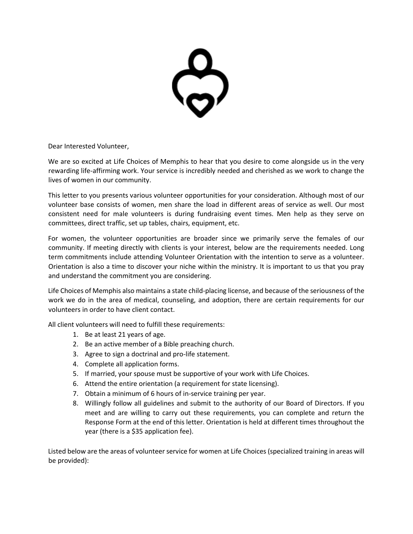$\sum$ 

Dear Interested Volunteer,

We are so excited at Life Choices of Memphis to hear that you desire to come alongside us in the very rewarding life-affirming work. Your service is incredibly needed and cherished as we work to change the lives of women in our community.

This letter to you presents various volunteer opportunities for your consideration. Although most of our volunteer base consists of women, men share the load in different areas of service as well. Our most consistent need for male volunteers is during fundraising event times. Men help as they serve on committees, direct traffic, set up tables, chairs, equipment, etc.

For women, the volunteer opportunities are broader since we primarily serve the females of our community. If meeting directly with clients is your interest, below are the requirements needed. Long term commitments include attending Volunteer Orientation with the intention to serve as a volunteer. Orientation is also a time to discover your niche within the ministry. It is important to us that you pray and understand the commitment you are considering.

Life Choices of Memphis also maintains a state child-placing license, and because of the seriousness of the work we do in the area of medical, counseling, and adoption, there are certain requirements for our volunteers in order to have client contact.

All client volunteers will need to fulfill these requirements:

- 1. Be at least 21 years of age.
- 2. Be an active member of a Bible preaching church.
- 3. Agree to sign a doctrinal and pro-life statement.
- 4. Complete all application forms.
- 5. If married, your spouse must be supportive of your work with Life Choices.
- 6. Attend the entire orientation (a requirement for state licensing).
- 7. Obtain a minimum of 6 hours of in-service training per year.
- 8. Willingly follow all guidelines and submit to the authority of our Board of Directors. If you meet and are willing to carry out these requirements, you can complete and return the Response Form at the end of this letter. Orientation is held at different times throughout the year (there is a \$35 application fee).

Listed below are the areas of volunteer service for women at Life Choices (specialized training in areas will be provided):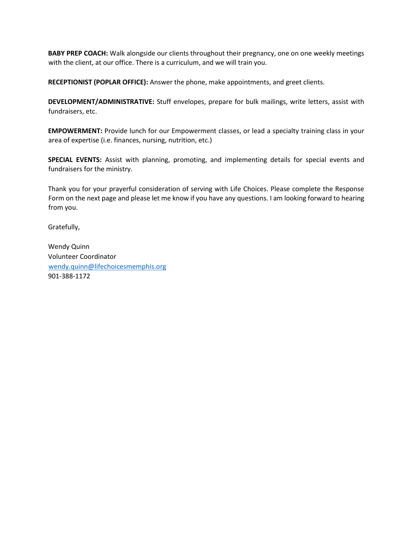**BABY PREP COACH:** Walk alongside our clients throughout their pregnancy, one on one weekly meetings with the client, at our office. There is a curriculum, and we will train you.

**RECEPTIONIST (POPLAR OFFICE):** Answer the phone, make appointments, and greet clients.

**DEVELOPMENT/ADMINISTRATIVE:** Stuff envelopes, prepare for bulk mailings, write letters, assist with fundraisers, etc.

**EMPOWERMENT:** Provide lunch for our Empowerment classes, or lead a specialty training class in your area of expertise (i.e. finances, nursing, nutrition, etc.)

**SPECIAL EVENTS:** Assist with planning, promoting, and implementing details for special events and fundraisers for the ministry.

Thank you for your prayerful consideration of serving with Life Choices. Please complete the Response Form on the next page and please let me know if you have any questions. I am looking forward to hearing from you.

Gratefully,

Wendy Quinn Volunteer Coordinator wendy.quinn@lifechoicesmemphis.org 901-388-1172